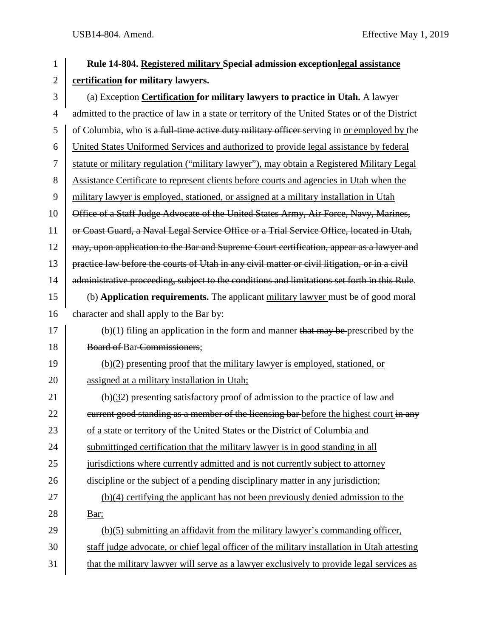| $\overline{2}$<br>certification for military lawyers.<br>3<br>(a) Exception Certification for military lawyers to practice in Utah. A lawyer<br>admitted to the practice of law in a state or territory of the United States or of the District<br>$\overline{4}$<br>5<br>of Columbia, who is a full-time active duty military officer serving in or employed by the<br>United States Uniformed Services and authorized to provide legal assistance by federal<br>6<br>7<br>statute or military regulation ("military lawyer"), may obtain a Registered Military Legal<br>$8\,$<br>Assistance Certificate to represent clients before courts and agencies in Utah when the<br>9<br>military lawyer is employed, stationed, or assigned at a military installation in Utah<br>10<br>Office of a Staff Judge Advocate of the United States Army, Air Force, Navy, Marines,<br>11<br>or Coast Guard, a Naval Legal Service Office or a Trial Service Office, located in Utah, | Rule 14-804. Registered military Special admission exceptionlegal assistance |
|----------------------------------------------------------------------------------------------------------------------------------------------------------------------------------------------------------------------------------------------------------------------------------------------------------------------------------------------------------------------------------------------------------------------------------------------------------------------------------------------------------------------------------------------------------------------------------------------------------------------------------------------------------------------------------------------------------------------------------------------------------------------------------------------------------------------------------------------------------------------------------------------------------------------------------------------------------------------------|------------------------------------------------------------------------------|
|                                                                                                                                                                                                                                                                                                                                                                                                                                                                                                                                                                                                                                                                                                                                                                                                                                                                                                                                                                            |                                                                              |
|                                                                                                                                                                                                                                                                                                                                                                                                                                                                                                                                                                                                                                                                                                                                                                                                                                                                                                                                                                            |                                                                              |
|                                                                                                                                                                                                                                                                                                                                                                                                                                                                                                                                                                                                                                                                                                                                                                                                                                                                                                                                                                            |                                                                              |
|                                                                                                                                                                                                                                                                                                                                                                                                                                                                                                                                                                                                                                                                                                                                                                                                                                                                                                                                                                            |                                                                              |
|                                                                                                                                                                                                                                                                                                                                                                                                                                                                                                                                                                                                                                                                                                                                                                                                                                                                                                                                                                            |                                                                              |
|                                                                                                                                                                                                                                                                                                                                                                                                                                                                                                                                                                                                                                                                                                                                                                                                                                                                                                                                                                            |                                                                              |
|                                                                                                                                                                                                                                                                                                                                                                                                                                                                                                                                                                                                                                                                                                                                                                                                                                                                                                                                                                            |                                                                              |
|                                                                                                                                                                                                                                                                                                                                                                                                                                                                                                                                                                                                                                                                                                                                                                                                                                                                                                                                                                            |                                                                              |
|                                                                                                                                                                                                                                                                                                                                                                                                                                                                                                                                                                                                                                                                                                                                                                                                                                                                                                                                                                            |                                                                              |
|                                                                                                                                                                                                                                                                                                                                                                                                                                                                                                                                                                                                                                                                                                                                                                                                                                                                                                                                                                            |                                                                              |
| 12<br>may, upon application to the Bar and Supreme Court certification, appear as a lawyer and                                                                                                                                                                                                                                                                                                                                                                                                                                                                                                                                                                                                                                                                                                                                                                                                                                                                             |                                                                              |
| 13<br>practice law before the courts of Utah in any civil matter or civil litigation, or in a civil                                                                                                                                                                                                                                                                                                                                                                                                                                                                                                                                                                                                                                                                                                                                                                                                                                                                        |                                                                              |
| 14<br>administrative proceeding, subject to the conditions and limitations set forth in this Rule.                                                                                                                                                                                                                                                                                                                                                                                                                                                                                                                                                                                                                                                                                                                                                                                                                                                                         |                                                                              |
| 15<br>(b) Application requirements. The applicant military lawyer must be of good moral                                                                                                                                                                                                                                                                                                                                                                                                                                                                                                                                                                                                                                                                                                                                                                                                                                                                                    |                                                                              |
| character and shall apply to the Bar by:<br>16                                                                                                                                                                                                                                                                                                                                                                                                                                                                                                                                                                                                                                                                                                                                                                                                                                                                                                                             |                                                                              |
| 17<br>$(b)(1)$ filing an application in the form and manner that may be prescribed by the                                                                                                                                                                                                                                                                                                                                                                                                                                                                                                                                                                                                                                                                                                                                                                                                                                                                                  |                                                                              |
| 18<br>Board of Bar-Commissioners;                                                                                                                                                                                                                                                                                                                                                                                                                                                                                                                                                                                                                                                                                                                                                                                                                                                                                                                                          |                                                                              |
| 19<br>$(b)(2)$ presenting proof that the military lawyer is employed, stationed, or                                                                                                                                                                                                                                                                                                                                                                                                                                                                                                                                                                                                                                                                                                                                                                                                                                                                                        |                                                                              |
| 20<br>assigned at a military installation in Utah;                                                                                                                                                                                                                                                                                                                                                                                                                                                                                                                                                                                                                                                                                                                                                                                                                                                                                                                         |                                                                              |
| 21<br>$(b)(32)$ presenting satisfactory proof of admission to the practice of law and                                                                                                                                                                                                                                                                                                                                                                                                                                                                                                                                                                                                                                                                                                                                                                                                                                                                                      |                                                                              |
| eurrent good standing as a member of the licensing bar-before the highest court in any<br>22                                                                                                                                                                                                                                                                                                                                                                                                                                                                                                                                                                                                                                                                                                                                                                                                                                                                               |                                                                              |
| 23<br>of a state or territory of the United States or the District of Columbia and                                                                                                                                                                                                                                                                                                                                                                                                                                                                                                                                                                                                                                                                                                                                                                                                                                                                                         |                                                                              |
| submittinged certification that the military lawyer is in good standing in all<br>24                                                                                                                                                                                                                                                                                                                                                                                                                                                                                                                                                                                                                                                                                                                                                                                                                                                                                       |                                                                              |
| 25<br>jurisdictions where currently admitted and is not currently subject to attorney                                                                                                                                                                                                                                                                                                                                                                                                                                                                                                                                                                                                                                                                                                                                                                                                                                                                                      |                                                                              |
| 26<br>discipline or the subject of a pending disciplinary matter in any jurisdiction;                                                                                                                                                                                                                                                                                                                                                                                                                                                                                                                                                                                                                                                                                                                                                                                                                                                                                      |                                                                              |
| 27<br>$(b)(4)$ certifying the applicant has not been previously denied admission to the                                                                                                                                                                                                                                                                                                                                                                                                                                                                                                                                                                                                                                                                                                                                                                                                                                                                                    |                                                                              |
| 28<br>Bar;                                                                                                                                                                                                                                                                                                                                                                                                                                                                                                                                                                                                                                                                                                                                                                                                                                                                                                                                                                 |                                                                              |
| 29<br>(b)(5) submitting an affidavit from the military lawyer's commanding officer,                                                                                                                                                                                                                                                                                                                                                                                                                                                                                                                                                                                                                                                                                                                                                                                                                                                                                        |                                                                              |
| 30<br>staff judge advocate, or chief legal officer of the military installation in Utah attesting                                                                                                                                                                                                                                                                                                                                                                                                                                                                                                                                                                                                                                                                                                                                                                                                                                                                          |                                                                              |
| 31<br>that the military lawyer will serve as a lawyer exclusively to provide legal services as                                                                                                                                                                                                                                                                                                                                                                                                                                                                                                                                                                                                                                                                                                                                                                                                                                                                             |                                                                              |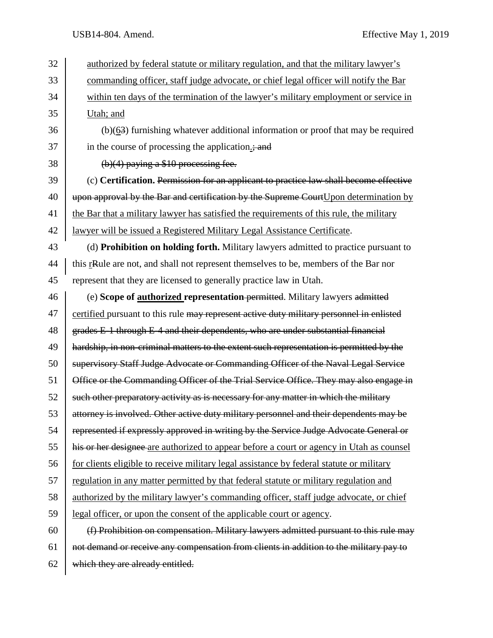$32$  authorized by federal statute or military regulation, and that the military lawyer's 33 commanding officer, staff judge advocate, or chief legal officer will notify the Bar 34 within ten days of the termination of the lawyer's military employment or service in 35 Utah; and 36 (b)(63) furnishing whatever additional information or proof that may be required  $37$  in the course of processing the application.; and 38 (b)(4) paying a \$10 processing fee. 39 (c) **Certification.** Permission for an applicant to practice law shall become effective 40  $\parallel$  upon approval by the Bar and certification by the Supreme Court Upon determination by 41 the Bar that a military lawyer has satisfied the requirements of this rule, the military 42 lawyer will be issued a Registered Military Legal Assistance Certificate. 43 (d) **Prohibition on holding forth.** Military lawyers admitted to practice pursuant to 44 this rRule are not, and shall not represent themselves to be, members of the Bar nor 45 represent that they are licensed to generally practice law in Utah. 46 (e) **Scope of authorized representation** permitted. Military lawyers admitted  $47$  certified pursuant to this rule may represent active duty military personnel in enlisted  $48$  grades E-1 through E-4 and their dependents, who are under substantial financial 49 **hardship, in non-criminal matters to the extent such representation is permitted by the** 50 Supervisory Staff Judge Advocate or Commanding Officer of the Naval Legal Service 51 | Office or the Commanding Officer of the Trial Service Office. They may also engage in  $52$  such other preparatory activity as is necessary for any matter in which the military 53 attorney is involved. Other active duty military personnel and their dependents may be 54 represented if expressly approved in writing by the Service Judge Advocate General or 55 his or her designee are authorized to appear before a court or agency in Utah as counsel 56 for clients eligible to receive military legal assistance by federal statute or military 57 regulation in any matter permitted by that federal statute or military regulation and 58 authorized by the military lawyer's commanding officer, staff judge advocate, or chief 59 legal officer, or upon the consent of the applicable court or agency. 60  $\left| \right|$  (f) Prohibition on compensation. Military lawyers admitted pursuant to this rule may  $61$  not demand or receive any compensation from clients in addition to the military pay to 62 which they are already entitled.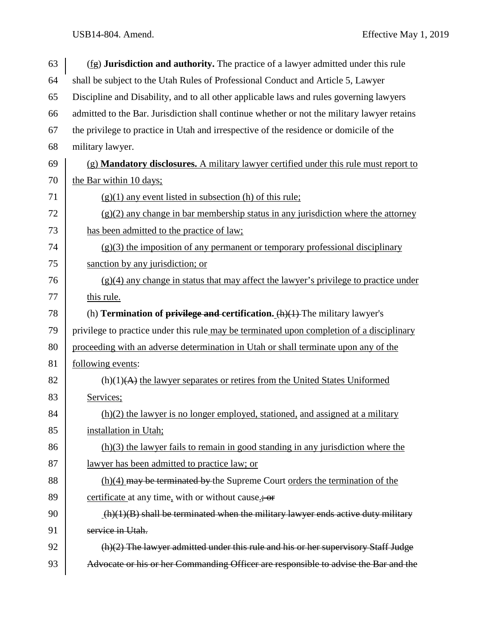| 63 | $(fg)$ <b>Jurisdiction and authority.</b> The practice of a lawyer admitted under this rule |
|----|---------------------------------------------------------------------------------------------|
| 64 | shall be subject to the Utah Rules of Professional Conduct and Article 5, Lawyer            |
| 65 | Discipline and Disability, and to all other applicable laws and rules governing lawyers     |
| 66 | admitted to the Bar. Jurisdiction shall continue whether or not the military lawyer retains |
| 67 | the privilege to practice in Utah and irrespective of the residence or domicile of the      |
| 68 | military lawyer.                                                                            |
| 69 | (g) Mandatory disclosures. A military lawyer certified under this rule must report to       |
| 70 | the Bar within 10 days;                                                                     |
| 71 | $(g)(1)$ any event listed in subsection (h) of this rule;                                   |
| 72 | $(g)(2)$ any change in bar membership status in any jurisdiction where the attorney         |
| 73 | has been admitted to the practice of law;                                                   |
| 74 | $(g)(3)$ the imposition of any permanent or temporary professional disciplinary             |
| 75 | sanction by any jurisdiction; or                                                            |
| 76 | $(g)(4)$ any change in status that may affect the lawyer's privilege to practice under      |
| 77 | this rule.                                                                                  |
| 78 | (h) <b>Termination of privilege and-certification.</b> $(h)(1)$ The military lawyer's       |
| 79 | privilege to practice under this rule may be terminated upon completion of a disciplinary   |
| 80 | proceeding with an adverse determination in Utah or shall terminate upon any of the         |
| 81 | following events:                                                                           |
| 82 | $(h)(1)$ $(A)$ the lawyer separates or retires from the United States Uniformed             |
| 83 | Services;                                                                                   |
| 84 | $(h)(2)$ the lawyer is no longer employed, stationed, and assigned at a military            |
| 85 | installation in Utah;                                                                       |
| 86 | $(h)(3)$ the lawyer fails to remain in good standing in any jurisdiction where the          |
| 87 | <u>lawyer has been admitted to practice law; or</u>                                         |
| 88 | $(h)(4)$ may be terminated by the Supreme Court orders the termination of the               |
| 89 | certificate at any time, with or without cause.; or                                         |
| 90 | $(h)(1)(B)$ shall be terminated when the military lawyer ends active duty military          |
| 91 | service in Utah.                                                                            |
| 92 | $(h)(2)$ The lawyer admitted under this rule and his or her supervisory Staff Judge         |
| 93 | Advocate or his or her Commanding Officer are responsible to advise the Bar and the         |